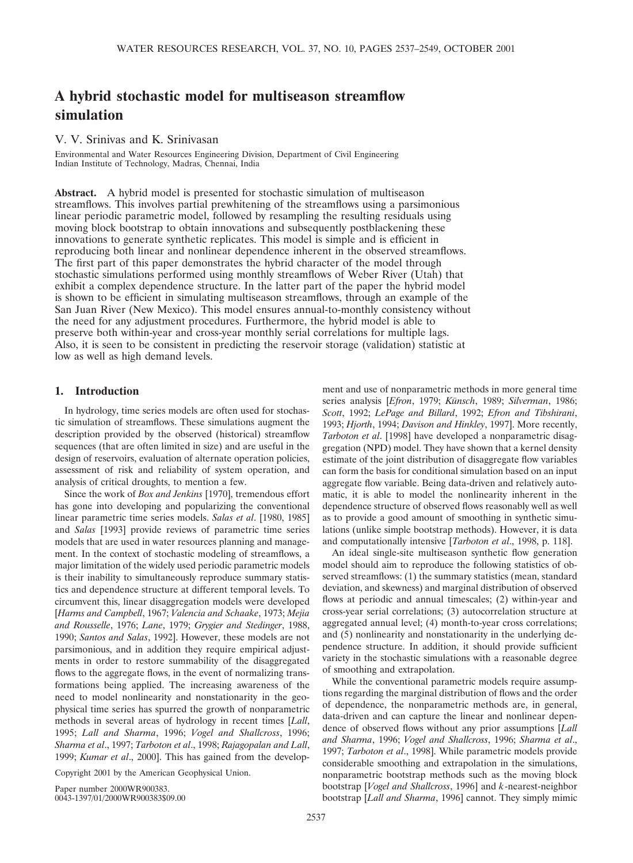# **A hybrid stochastic model for multiseason streamflow simulation**

V. V. Srinivas and K. Srinivasan

Environmental and Water Resources Engineering Division, Department of Civil Engineering Indian Institute of Technology, Madras, Chennai, India

**Abstract.** A hybrid model is presented for stochastic simulation of multiseason streamflows. This involves partial prewhitening of the streamflows using a parsimonious linear periodic parametric model, followed by resampling the resulting residuals using moving block bootstrap to obtain innovations and subsequently postblackening these innovations to generate synthetic replicates. This model is simple and is efficient in reproducing both linear and nonlinear dependence inherent in the observed streamflows. The first part of this paper demonstrates the hybrid character of the model through stochastic simulations performed using monthly streamflows of Weber River (Utah) that exhibit a complex dependence structure. In the latter part of the paper the hybrid model is shown to be efficient in simulating multiseason streamflows, through an example of the San Juan River (New Mexico). This model ensures annual-to-monthly consistency without the need for any adjustment procedures. Furthermore, the hybrid model is able to preserve both within-year and cross-year monthly serial correlations for multiple lags. Also, it is seen to be consistent in predicting the reservoir storage (validation) statistic at low as well as high demand levels.

## **1. Introduction**

In hydrology, time series models are often used for stochastic simulation of streamflows. These simulations augment the description provided by the observed (historical) streamflow sequences (that are often limited in size) and are useful in the design of reservoirs, evaluation of alternate operation policies, assessment of risk and reliability of system operation, and analysis of critical droughts, to mention a few.

Since the work of *Box and Jenkins* [1970], tremendous effort has gone into developing and popularizing the conventional linear parametric time series models. *Salas et al*. [1980, 1985] and *Salas* [1993] provide reviews of parametric time series models that are used in water resources planning and management. In the context of stochastic modeling of streamflows, a major limitation of the widely used periodic parametric models is their inability to simultaneously reproduce summary statistics and dependence structure at different temporal levels. To circumvent this, linear disaggregation models were developed [*Harms and Campbell*, 1967; *Valencia and Schaake*, 1973; *Mejia and Rousselle*, 1976; *Lane*, 1979; *Grygier and Stedinger*, 1988, 1990; *Santos and Salas*, 1992]. However, these models are not parsimonious, and in addition they require empirical adjustments in order to restore summability of the disaggregated flows to the aggregate flows, in the event of normalizing transformations being applied. The increasing awareness of the need to model nonlinearity and nonstationarity in the geophysical time series has spurred the growth of nonparametric methods in several areas of hydrology in recent times [*Lall*, 1995; *Lall and Sharma*, 1996; *Vogel and Shallcross*, 1996; *Sharma et al*., 1997; *Tarboton et al*., 1998; *Rajagopalan and Lall*, 1999; *Kumar et al*., 2000]. This has gained from the develop-

Copyright 2001 by the American Geophysical Union.

Paper number 2000WR900383. 0043-1397/01/2000WR900383\$09.00 ment and use of nonparametric methods in more general time series analysis [Efron, 1979; Künsch, 1989; Silverman, 1986; *Scott*, 1992; *LePage and Billard*, 1992; *Efron and Tibshirani*, 1993; *Hjorth*, 1994; *Davison and Hinkley*, 1997]. More recently, *Tarboton et al*. [1998] have developed a nonparametric disaggregation (NPD) model. They have shown that a kernel density estimate of the joint distribution of disaggregate flow variables can form the basis for conditional simulation based on an input aggregate flow variable. Being data-driven and relatively automatic, it is able to model the nonlinearity inherent in the dependence structure of observed flows reasonably well as well as to provide a good amount of smoothing in synthetic simulations (unlike simple bootstrap methods). However, it is data and computationally intensive [*Tarboton et al*., 1998, p. 118].

An ideal single-site multiseason synthetic flow generation model should aim to reproduce the following statistics of observed streamflows: (1) the summary statistics (mean, standard deviation, and skewness) and marginal distribution of observed flows at periodic and annual timescales; (2) within-year and cross-year serial correlations; (3) autocorrelation structure at aggregated annual level; (4) month-to-year cross correlations; and (5) nonlinearity and nonstationarity in the underlying dependence structure. In addition, it should provide sufficient variety in the stochastic simulations with a reasonable degree of smoothing and extrapolation.

While the conventional parametric models require assumptions regarding the marginal distribution of flows and the order of dependence, the nonparametric methods are, in general, data-driven and can capture the linear and nonlinear dependence of observed flows without any prior assumptions [*Lall and Sharma*, 1996; *Vogel and Shallcross*, 1996; *Sharma et al*., 1997; *Tarboton et al*., 1998]. While parametric models provide considerable smoothing and extrapolation in the simulations, nonparametric bootstrap methods such as the moving block bootstrap [*Vogel and Shallcross*, 1996] and *k*-nearest-neighbor bootstrap [*Lall and Sharma*, 1996] cannot. They simply mimic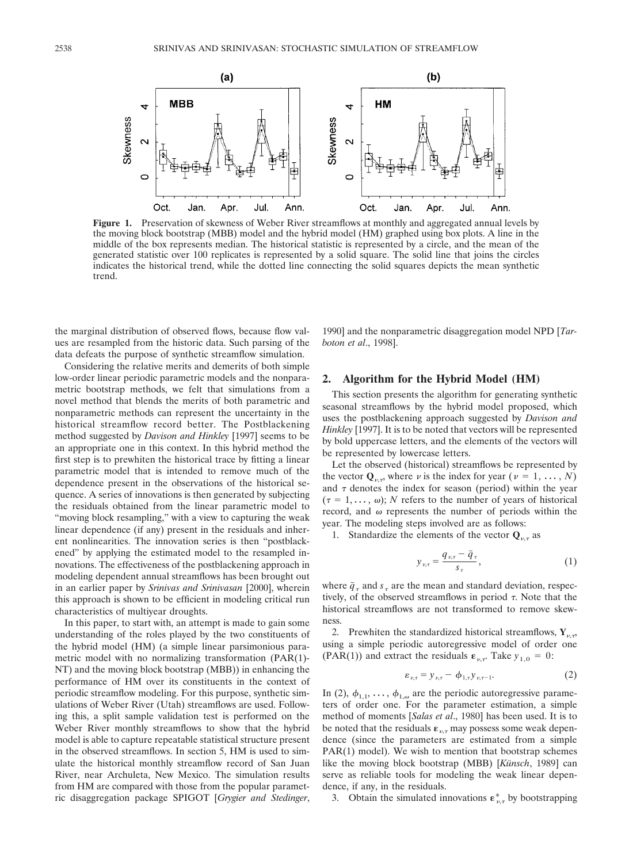

**Figure 1.** Preservation of skewness of Weber River streamflows at monthly and aggregated annual levels by the moving block bootstrap (MBB) model and the hybrid model (HM) graphed using box plots. A line in the middle of the box represents median. The historical statistic is represented by a circle, and the mean of the generated statistic over 100 replicates is represented by a solid square. The solid line that joins the circles indicates the historical trend, while the dotted line connecting the solid squares depicts the mean synthetic trend.

the marginal distribution of observed flows, because flow values are resampled from the historic data. Such parsing of the data defeats the purpose of synthetic streamflow simulation.

Considering the relative merits and demerits of both simple low-order linear periodic parametric models and the nonparametric bootstrap methods, we felt that simulations from a novel method that blends the merits of both parametric and nonparametric methods can represent the uncertainty in the historical streamflow record better. The Postblackening method suggested by *Davison and Hinkley* [1997] seems to be an appropriate one in this context. In this hybrid method the first step is to prewhiten the historical trace by fitting a linear parametric model that is intended to remove much of the dependence present in the observations of the historical sequence. A series of innovations is then generated by subjecting the residuals obtained from the linear parametric model to "moving block resampling," with a view to capturing the weak linear dependence (if any) present in the residuals and inherent nonlinearities. The innovation series is then "postblackened" by applying the estimated model to the resampled innovations. The effectiveness of the postblackening approach in modeling dependent annual streamflows has been brought out in an earlier paper by *Srinivas and Srinivasan* [2000], wherein this approach is shown to be efficient in modeling critical run characteristics of multiyear droughts.

In this paper, to start with, an attempt is made to gain some understanding of the roles played by the two constituents of the hybrid model (HM) (a simple linear parsimonious parametric model with no normalizing transformation (PAR(1)- NT) and the moving block bootstrap (MBB)) in enhancing the performance of HM over its constituents in the context of periodic streamflow modeling. For this purpose, synthetic simulations of Weber River (Utah) streamflows are used. Following this, a split sample validation test is performed on the Weber River monthly streamflows to show that the hybrid model is able to capture repeatable statistical structure present in the observed streamflows. In section 5, HM is used to simulate the historical monthly streamflow record of San Juan River, near Archuleta, New Mexico. The simulation results from HM are compared with those from the popular parametric disaggregation package SPIGOT [*Grygier and Stedinger*,

1990] and the nonparametric disaggregation model NPD [*Tarboton et al*., 1998].

### **2. Algorithm for the Hybrid Model (HM)**

This section presents the algorithm for generating synthetic seasonal streamflows by the hybrid model proposed, which uses the postblackening approach suggested by *Davison and Hinkley* [1997]. It is to be noted that vectors will be represented by bold uppercase letters, and the elements of the vectors will be represented by lowercase letters.

Let the observed (historical) streamflows be represented by the vector  $\mathbf{Q}_{\nu,\tau}$ , where  $\nu$  is the index for year ( $\nu = 1, \ldots, N$ ) and  $\tau$  denotes the index for season (period) within the year  $(\tau = 1, \dots, \omega)$ ; *N* refers to the number of years of historical record, and  $\omega$  represents the number of periods within the year. The modeling steps involved are as follows:

1. Standardize the elements of the vector  $\mathbf{Q}_{\nu,\tau}$  as

$$
y_{\nu,\tau} = \frac{q_{\nu,\tau} - \bar{q}_{\tau}}{s_{\tau}},\tag{1}
$$

where  $\bar{q}_\tau$  and  $s_\tau$  are the mean and standard deviation, respectively, of the observed streamflows in period  $\tau$ . Note that the historical streamflows are not transformed to remove skewness.

2. Prewhiten the standardized historical streamflows,  $Y_{\nu,\tau}$ , using a simple periodic autoregressive model of order one (PAR(1)) and extract the residuals  $\varepsilon_{\nu,\tau}$ . Take  $y_{1,0} = 0$ :

$$
\varepsilon_{\nu,\tau} = y_{\nu,\tau} - \phi_{1,\tau} y_{\nu,\tau-1}.
$$
 (2)

In (2),  $\phi_{1,1}, \ldots, \phi_{1,\omega}$  are the periodic autoregressive parameters of order one. For the parameter estimation, a simple method of moments [*Salas et al*., 1980] has been used. It is to be noted that the residuals  $\varepsilon_{\nu,\tau}$  may possess some weak dependence (since the parameters are estimated from a simple PAR(1) model). We wish to mention that bootstrap schemes like the moving block bootstrap (MBB) [Künsch, 1989] can serve as reliable tools for modeling the weak linear dependence, if any, in the residuals.

3. Obtain the simulated innovations  $\epsilon^*_{\nu,\tau}$  by bootstrapping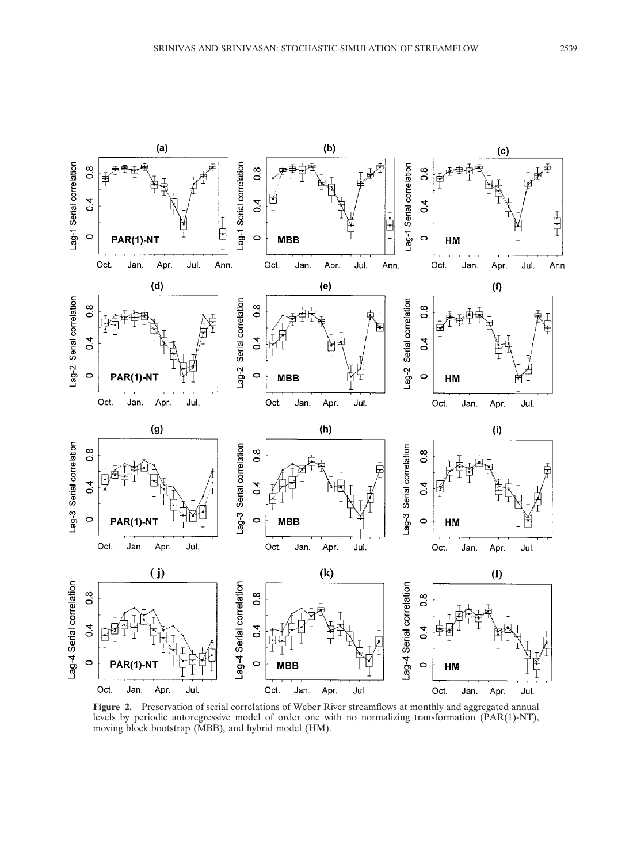

Figure 2. Preservation of serial correlations of Weber River streamflows at monthly and aggregated annual levels by periodic autoregressive model of order one with no normalizing transformation (PAR(1)-NT), moving block bootstrap (MBB), and hybrid model (HM).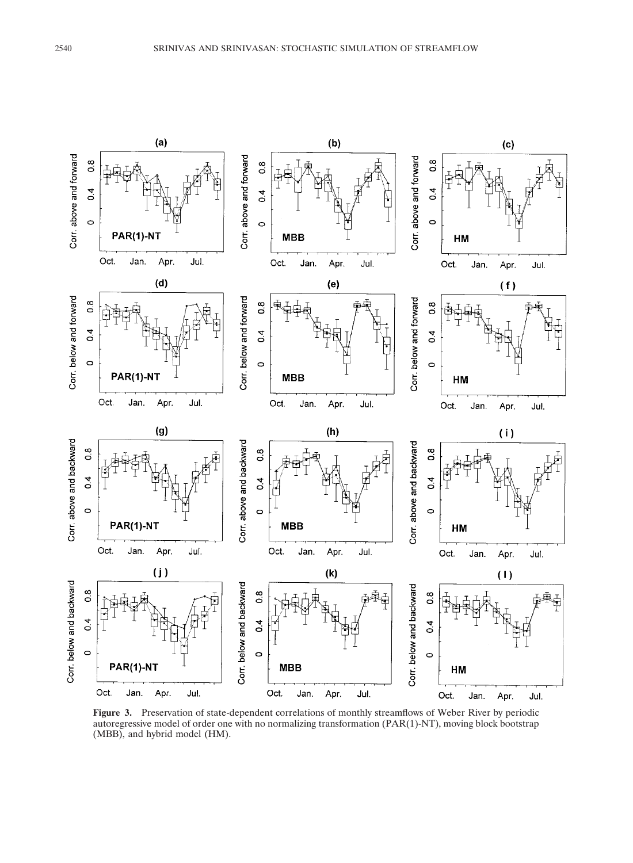

Figure 3. Preservation of state-dependent correlations of monthly streamflows of Weber River by periodic autoregressive model of order one with no normalizing transformation (PAR(1)-NT), moving block bootstrap (MBB), and hybrid model (HM).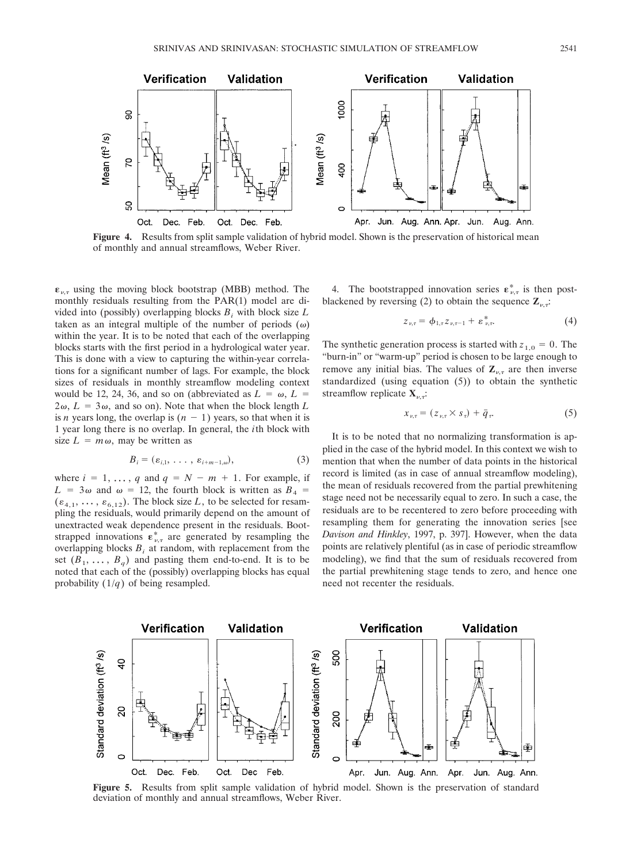

**Figure 4.** Results from split sample validation of hybrid model. Shown is the preservation of historical mean of monthly and annual streamflows, Weber River.

 $\epsilon_{\nu,\tau}$  using the moving block bootstrap (MBB) method. The monthly residuals resulting from the PAR(1) model are divided into (possibly) overlapping blocks  $B_i$  with block size  $L$ taken as an integral multiple of the number of periods  $(\omega)$ within the year. It is to be noted that each of the overlapping blocks starts with the first period in a hydrological water year. This is done with a view to capturing the within-year correlations for a significant number of lags. For example, the block sizes of residuals in monthly streamflow modeling context would be 12, 24, 36, and so on (abbreviated as  $L = \omega$ ,  $L =$  $2\omega$ ,  $L = 3\omega$ , and so on). Note that when the block length *L* is *n* years long, the overlap is  $(n - 1)$  years, so that when it is 1 year long there is no overlap. In general, the *i*th block with size  $L = m\omega$ , may be written as

$$
B_i = (\varepsilon_{i,1}, \ldots, \varepsilon_{i+m-1,\omega}), \qquad (3)
$$

where  $i = 1, \ldots, q$  and  $q = N - m + 1$ . For example, if  $L = 3\omega$  and  $\omega = 12$ , the fourth block is written as  $B_4$  $(\varepsilon_{4,1}, \ldots, \varepsilon_{6,12})$ . The block size *L*, to be selected for resampling the residuals, would primarily depend on the amount of unextracted weak dependence present in the residuals. Bootstrapped innovations  $\epsilon_{\nu,\tau}^*$  are generated by resampling the overlapping blocks  $B_i$  at random, with replacement from the set  $(B_1, \ldots, B_q)$  and pasting them end-to-end. It is to be noted that each of the (possibly) overlapping blocks has equal probability (1/*q*) of being resampled.

4. The bootstrapped innovation series  $\mathbf{\varepsilon}_{\nu,\tau}^*$  is then postblackened by reversing (2) to obtain the sequence  $\mathbf{Z}_{\nu,\tau}$ .

$$
z_{\nu,\tau} = \phi_{1,\tau} z_{\nu,\tau-1} + \varepsilon_{\nu,\tau}^* \tag{4}
$$

The synthetic generation process is started with  $z_{1,0} = 0$ . The "burn-in" or "warm-up" period is chosen to be large enough to remove any initial bias. The values of  $\mathbb{Z}_{\nu,\tau}$  are then inverse standardized (using equation (5)) to obtain the synthetic streamflow replicate  $X_{\nu,\tau}$ :

$$
x_{\nu,\tau} = (z_{\nu,\tau} \times s_{\tau}) + \bar{q}_{\tau}.
$$
 (5)

It is to be noted that no normalizing transformation is applied in the case of the hybrid model. In this context we wish to mention that when the number of data points in the historical record is limited (as in case of annual streamflow modeling), the mean of residuals recovered from the partial prewhitening stage need not be necessarily equal to zero. In such a case, the residuals are to be recentered to zero before proceeding with resampling them for generating the innovation series [see *Davison and Hinkley*, 1997, p. 397]. However, when the data points are relatively plentiful (as in case of periodic streamflow modeling), we find that the sum of residuals recovered from the partial prewhitening stage tends to zero, and hence one need not recenter the residuals.



**Figure 5.** Results from split sample validation of hybrid model. Shown is the preservation of standard deviation of monthly and annual streamflows, Weber River.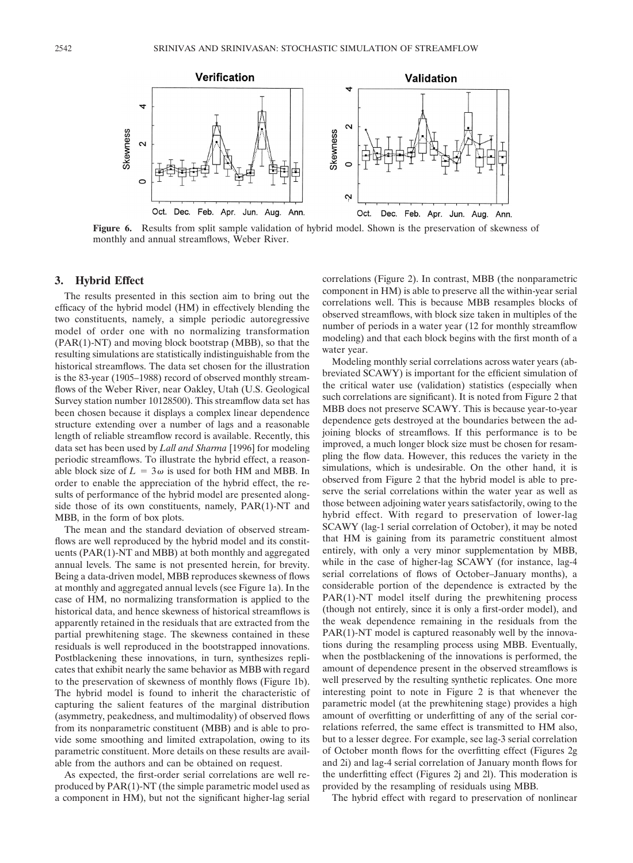

**Figure 6.** Results from split sample validation of hybrid model. Shown is the preservation of skewness of monthly and annual streamflows, Weber River.

## **3. Hybrid Effect**

The results presented in this section aim to bring out the efficacy of the hybrid model (HM) in effectively blending the two constituents, namely, a simple periodic autoregressive model of order one with no normalizing transformation (PAR(1)-NT) and moving block bootstrap (MBB), so that the resulting simulations are statistically indistinguishable from the historical streamflows. The data set chosen for the illustration is the 83-year (1905–1988) record of observed monthly streamflows of the Weber River, near Oakley, Utah (U.S. Geological Survey station number 10128500). This streamflow data set has been chosen because it displays a complex linear dependence structure extending over a number of lags and a reasonable length of reliable streamflow record is available. Recently, this data set has been used by *Lall and Sharma* [1996] for modeling periodic streamflows. To illustrate the hybrid effect, a reasonable block size of  $L = 3\omega$  is used for both HM and MBB. In order to enable the appreciation of the hybrid effect, the results of performance of the hybrid model are presented alongside those of its own constituents, namely, PAR(1)-NT and MBB, in the form of box plots.

The mean and the standard deviation of observed streamflows are well reproduced by the hybrid model and its constituents (PAR(1)-NT and MBB) at both monthly and aggregated annual levels. The same is not presented herein, for brevity. Being a data-driven model, MBB reproduces skewness of flows at monthly and aggregated annual levels (see Figure 1a). In the case of HM, no normalizing transformation is applied to the historical data, and hence skewness of historical streamflows is apparently retained in the residuals that are extracted from the partial prewhitening stage. The skewness contained in these residuals is well reproduced in the bootstrapped innovations. Postblackening these innovations, in turn, synthesizes replicates that exhibit nearly the same behavior as MBB with regard to the preservation of skewness of monthly flows (Figure 1b). The hybrid model is found to inherit the characteristic of capturing the salient features of the marginal distribution (asymmetry, peakedness, and multimodality) of observed flows from its nonparametric constituent (MBB) and is able to provide some smoothing and limited extrapolation, owing to its parametric constituent. More details on these results are available from the authors and can be obtained on request.

As expected, the first-order serial correlations are well reproduced by PAR(1)-NT (the simple parametric model used as a component in HM), but not the significant higher-lag serial

correlations (Figure 2). In contrast, MBB (the nonparametric component in HM) is able to preserve all the within-year serial correlations well. This is because MBB resamples blocks of observed streamflows, with block size taken in multiples of the number of periods in a water year (12 for monthly streamflow modeling) and that each block begins with the first month of a water year.

Modeling monthly serial correlations across water years (abbreviated SCAWY) is important for the efficient simulation of the critical water use (validation) statistics (especially when such correlations are significant). It is noted from Figure 2 that MBB does not preserve SCAWY. This is because year-to-year dependence gets destroyed at the boundaries between the adjoining blocks of streamflows. If this performance is to be improved, a much longer block size must be chosen for resampling the flow data. However, this reduces the variety in the simulations, which is undesirable. On the other hand, it is observed from Figure 2 that the hybrid model is able to preserve the serial correlations within the water year as well as those between adjoining water years satisfactorily, owing to the hybrid effect. With regard to preservation of lower-lag SCAWY (lag-1 serial correlation of October), it may be noted that HM is gaining from its parametric constituent almost entirely, with only a very minor supplementation by MBB, while in the case of higher-lag SCAWY (for instance, lag-4 serial correlations of flows of October–January months), a considerable portion of the dependence is extracted by the PAR(1)-NT model itself during the prewhitening process (though not entirely, since it is only a first-order model), and the weak dependence remaining in the residuals from the PAR(1)-NT model is captured reasonably well by the innovations during the resampling process using MBB. Eventually, when the postblackening of the innovations is performed, the amount of dependence present in the observed streamflows is well preserved by the resulting synthetic replicates. One more interesting point to note in Figure 2 is that whenever the parametric model (at the prewhitening stage) provides a high amount of overfitting or underfitting of any of the serial correlations referred, the same effect is transmitted to HM also, but to a lesser degree. For example, see lag-3 serial correlation of October month flows for the overfitting effect (Figures 2g and 2i) and lag-4 serial correlation of January month flows for the underfitting effect (Figures 2j and 2l). This moderation is provided by the resampling of residuals using MBB.

The hybrid effect with regard to preservation of nonlinear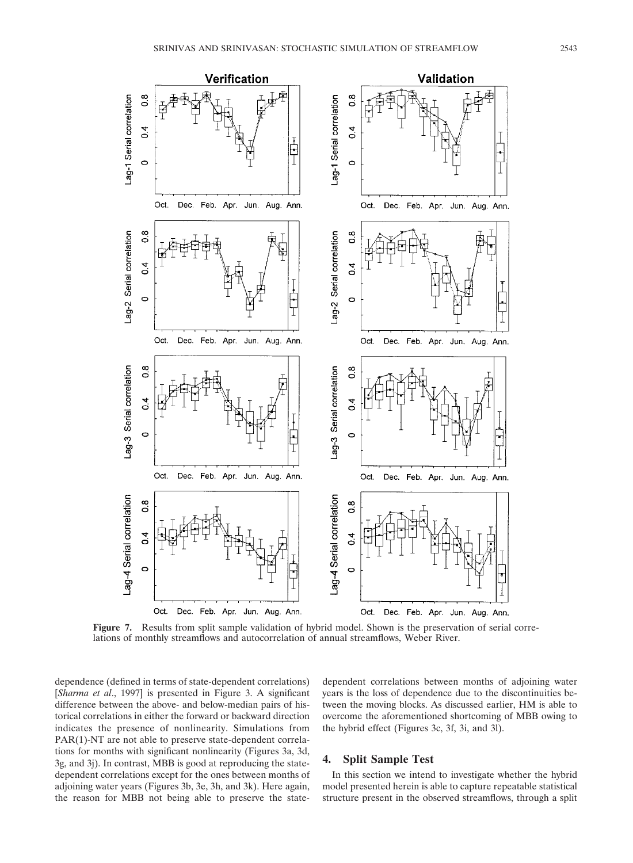

**Figure 7.** Results from split sample validation of hybrid model. Shown is the preservation of serial correlations of monthly streamflows and autocorrelation of annual streamflows, Weber River.

dependence (defined in terms of state-dependent correlations) [*Sharma et al*., 1997] is presented in Figure 3. A significant difference between the above- and below-median pairs of historical correlations in either the forward or backward direction indicates the presence of nonlinearity. Simulations from PAR(1)-NT are not able to preserve state-dependent correlations for months with significant nonlinearity (Figures 3a, 3d, 3g, and 3j). In contrast, MBB is good at reproducing the statedependent correlations except for the ones between months of adjoining water years (Figures 3b, 3e, 3h, and 3k). Here again, the reason for MBB not being able to preserve the statedependent correlations between months of adjoining water years is the loss of dependence due to the discontinuities between the moving blocks. As discussed earlier, HM is able to overcome the aforementioned shortcoming of MBB owing to the hybrid effect (Figures 3c, 3f, 3i, and 3l).

## **4. Split Sample Test**

In this section we intend to investigate whether the hybrid model presented herein is able to capture repeatable statistical structure present in the observed streamflows, through a split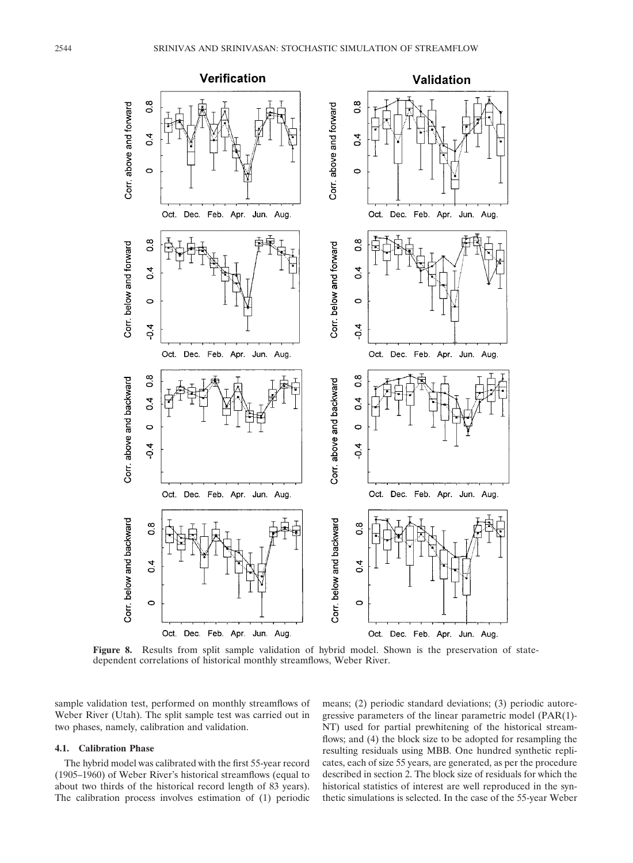

**Figure 8.** Results from split sample validation of hybrid model. Shown is the preservation of statedependent correlations of historical monthly streamflows, Weber River.

sample validation test, performed on monthly streamflows of Weber River (Utah). The split sample test was carried out in two phases, namely, calibration and validation.

### **4.1. Calibration Phase**

The hybrid model was calibrated with the first 55-year record (1905–1960) of Weber River's historical streamflows (equal to about two thirds of the historical record length of 83 years). The calibration process involves estimation of (1) periodic means; (2) periodic standard deviations; (3) periodic autoregressive parameters of the linear parametric model (PAR(1)- NT) used for partial prewhitening of the historical streamflows; and (4) the block size to be adopted for resampling the resulting residuals using MBB. One hundred synthetic replicates, each of size 55 years, are generated, as per the procedure described in section 2. The block size of residuals for which the historical statistics of interest are well reproduced in the synthetic simulations is selected. In the case of the 55-year Weber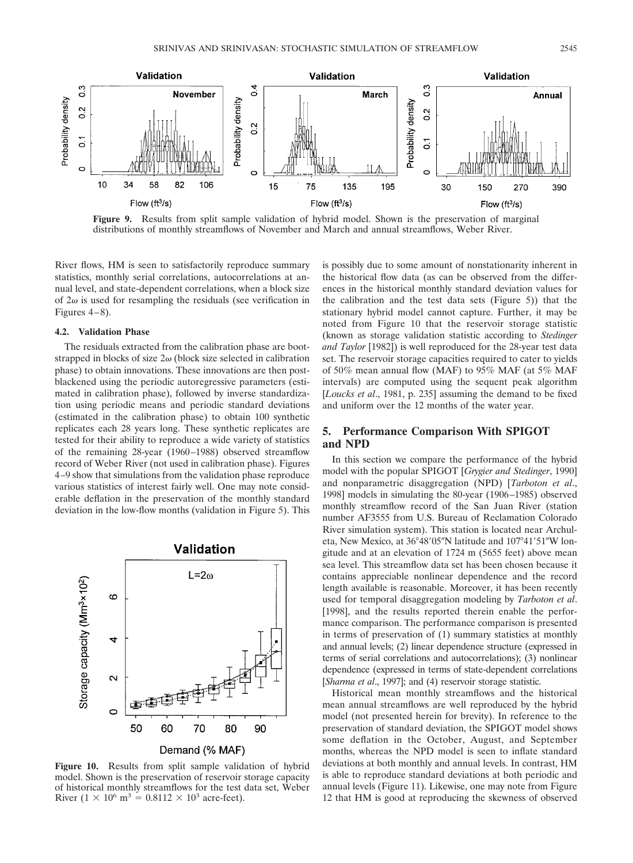

**Figure 9.** Results from split sample validation of hybrid model. Shown is the preservation of marginal distributions of monthly streamflows of November and March and annual streamflows, Weber River.

River flows, HM is seen to satisfactorily reproduce summary statistics, monthly serial correlations, autocorrelations at annual level, and state-dependent correlations, when a block size of  $2\omega$  is used for resampling the residuals (see verification in Figures 4–8).

#### **4.2. Validation Phase**

The residuals extracted from the calibration phase are bootstrapped in blocks of size  $2\omega$  (block size selected in calibration phase) to obtain innovations. These innovations are then postblackened using the periodic autoregressive parameters (estimated in calibration phase), followed by inverse standardization using periodic means and periodic standard deviations (estimated in the calibration phase) to obtain 100 synthetic replicates each 28 years long. These synthetic replicates are tested for their ability to reproduce a wide variety of statistics of the remaining 28-year (1960–1988) observed streamflow record of Weber River (not used in calibration phase). Figures 4–9 show that simulations from the validation phase reproduce various statistics of interest fairly well. One may note considerable deflation in the preservation of the monthly standard deviation in the low-flow months (validation in Figure 5). This



**Figure 10.** Results from split sample validation of hybrid model. Shown is the preservation of reservoir storage capacity of historical monthly streamflows for the test data set, Weber River  $(1 \times 10^6 \text{ m}^3 = 0.8112 \times 10^3 \text{ acre-feet})$ .

is possibly due to some amount of nonstationarity inherent in the historical flow data (as can be observed from the differences in the historical monthly standard deviation values for the calibration and the test data sets (Figure 5)) that the stationary hybrid model cannot capture. Further, it may be noted from Figure 10 that the reservoir storage statistic (known as storage validation statistic according to *Stedinger and Taylor* [1982]) is well reproduced for the 28-year test data set. The reservoir storage capacities required to cater to yields of 50% mean annual flow (MAF) to 95% MAF (at 5% MAF intervals) are computed using the sequent peak algorithm [*Loucks et al*., 1981, p. 235] assuming the demand to be fixed and uniform over the 12 months of the water year.

## **5. Performance Comparison With SPIGOT and NPD**

In this section we compare the performance of the hybrid model with the popular SPIGOT [*Grygier and Stedinger*, 1990] and nonparametric disaggregation (NPD) [*Tarboton et al*., 1998] models in simulating the 80-year (1906–1985) observed monthly streamflow record of the San Juan River (station number AF3555 from U.S. Bureau of Reclamation Colorado River simulation system). This station is located near Archuleta, New Mexico, at 36°48′05"N latitude and 107°41′51"W longitude and at an elevation of 1724 m (5655 feet) above mean sea level. This streamflow data set has been chosen because it contains appreciable nonlinear dependence and the record length available is reasonable. Moreover, it has been recently used for temporal disaggregation modeling by *Tarboton et al*. [1998], and the results reported therein enable the performance comparison. The performance comparison is presented in terms of preservation of (1) summary statistics at monthly and annual levels; (2) linear dependence structure (expressed in terms of serial correlations and autocorrelations); (3) nonlinear dependence (expressed in terms of state-dependent correlations [*Sharma et al.*, 1997]; and (4) reservoir storage statistic.

Historical mean monthly streamflows and the historical mean annual streamflows are well reproduced by the hybrid model (not presented herein for brevity). In reference to the preservation of standard deviation, the SPIGOT model shows some deflation in the October, August, and September months, whereas the NPD model is seen to inflate standard deviations at both monthly and annual levels. In contrast, HM is able to reproduce standard deviations at both periodic and annual levels (Figure 11). Likewise, one may note from Figure 12 that HM is good at reproducing the skewness of observed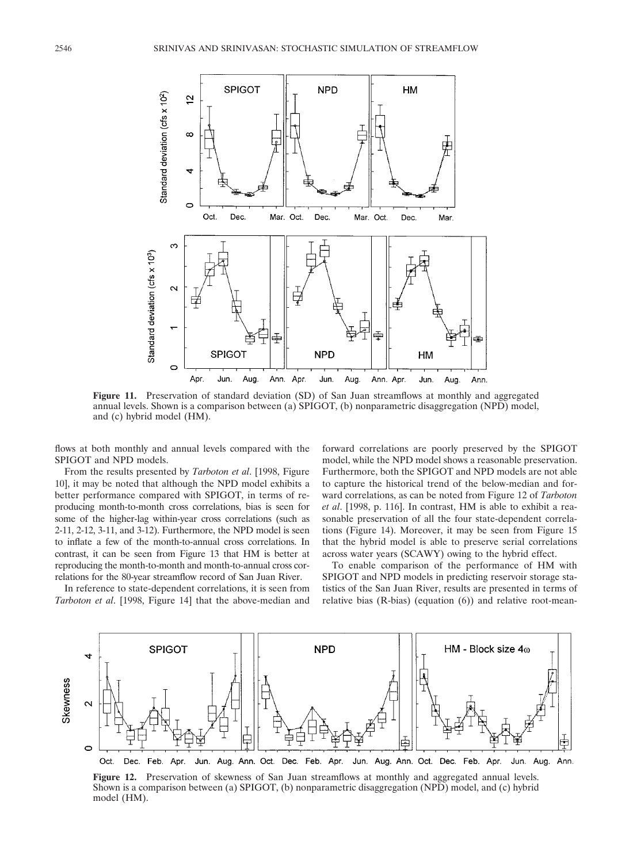

**Figure 11.** Preservation of standard deviation (SD) of San Juan streamflows at monthly and aggregated annual levels. Shown is a comparison between (a) SPIGOT, (b) nonparametric disaggregation (NPD) model, and (c) hybrid model (HM).

flows at both monthly and annual levels compared with the SPIGOT and NPD models.

From the results presented by *Tarboton et al*. [1998, Figure 10], it may be noted that although the NPD model exhibits a better performance compared with SPIGOT, in terms of reproducing month-to-month cross correlations, bias is seen for some of the higher-lag within-year cross correlations (such as 2-11, 2-12, 3-11, and 3-12). Furthermore, the NPD model is seen to inflate a few of the month-to-annual cross correlations. In contrast, it can be seen from Figure 13 that HM is better at reproducing the month-to-month and month-to-annual cross correlations for the 80-year streamflow record of San Juan River.

In reference to state-dependent correlations, it is seen from *Tarboton et al*. [1998, Figure 14] that the above-median and forward correlations are poorly preserved by the SPIGOT model, while the NPD model shows a reasonable preservation. Furthermore, both the SPIGOT and NPD models are not able to capture the historical trend of the below-median and forward correlations, as can be noted from Figure 12 of *Tarboton et al*. [1998, p. 116]. In contrast, HM is able to exhibit a reasonable preservation of all the four state-dependent correlations (Figure 14). Moreover, it may be seen from Figure 15 that the hybrid model is able to preserve serial correlations across water years (SCAWY) owing to the hybrid effect.

To enable comparison of the performance of HM with SPIGOT and NPD models in predicting reservoir storage statistics of the San Juan River, results are presented in terms of relative bias (R-bias) (equation (6)) and relative root-mean-



**Figure 12.** Preservation of skewness of San Juan streamflows at monthly and aggregated annual levels. Shown is a comparison between (a) SPIGOT, (b) nonparametric disaggregation (NPD) model, and (c) hybrid model (HM).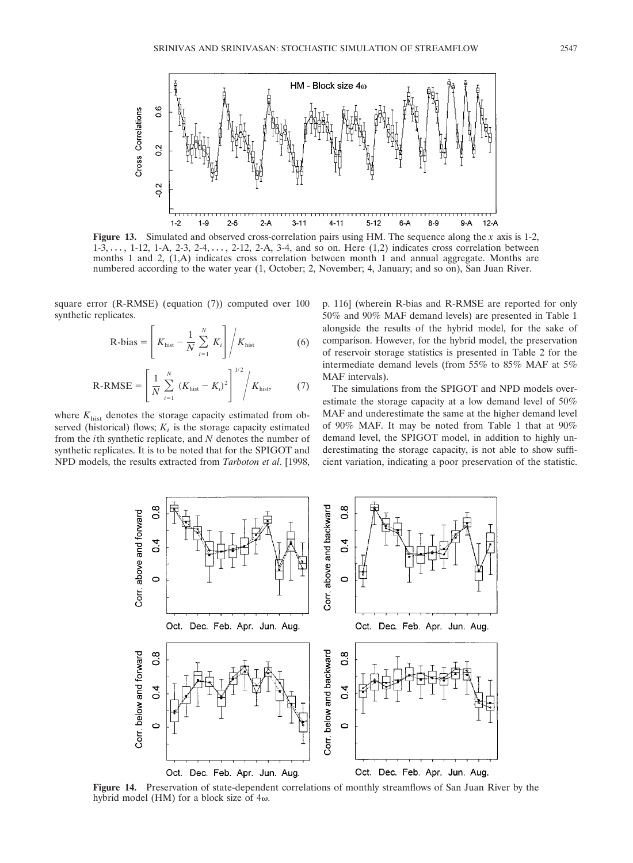



**Figure 13.** Simulated and observed cross-correlation pairs using HM. The sequence along the *x* axis is 1-2,  $1-3, \ldots, 1-12, 1-A, 2-3, 2-4, \ldots, 2-12, 2-A, 3-4,$  and so on. Here  $(1,2)$  indicates cross correlation between months 1 and 2, (1,A) indicates cross correlation between month 1 and annual aggregate. Months are numbered according to the water year (1, October; 2, November; 4, January; and so on), San Juan River.

square error (R-RMSE) (equation (7)) computed over 100 synthetic replicates.

$$
R-bias = \left[K_{hist} - \frac{1}{N} \sum_{i=1}^{N} K_i\right] / K_{hist}
$$
 (6)

$$
R\text{-RMSE} = \left[\frac{1}{N} \sum_{i=1}^{N} (K_{\text{hist}} - K_i)^2\right]^{1/2} / K_{\text{hist}},\tag{7}
$$

where  $K_{\text{hist}}$  denotes the storage capacity estimated from observed (historical) flows;  $K_i$  is the storage capacity estimated from the *i*th synthetic replicate, and *N* denotes the number of synthetic replicates. It is to be noted that for the SPIGOT and NPD models, the results extracted from *Tarboton et al*. [1998, p. 116] (wherein R-bias and R-RMSE are reported for only 50% and 90% MAF demand levels) are presented in Table 1 alongside the results of the hybrid model, for the sake of comparison. However, for the hybrid model, the preservation of reservoir storage statistics is presented in Table 2 for the intermediate demand levels (from 55% to 85% MAF at 5% MAF intervals).

The simulations from the SPIGOT and NPD models overestimate the storage capacity at a low demand level of 50% MAF and underestimate the same at the higher demand level of 90% MAF. It may be noted from Table 1 that at 90% demand level, the SPIGOT model, in addition to highly underestimating the storage capacity, is not able to show sufficient variation, indicating a poor preservation of the statistic.



**Figure 14.** Preservation of state-dependent correlations of monthly streamflows of San Juan River by the hybrid model (HM) for a block size of  $4\omega$ .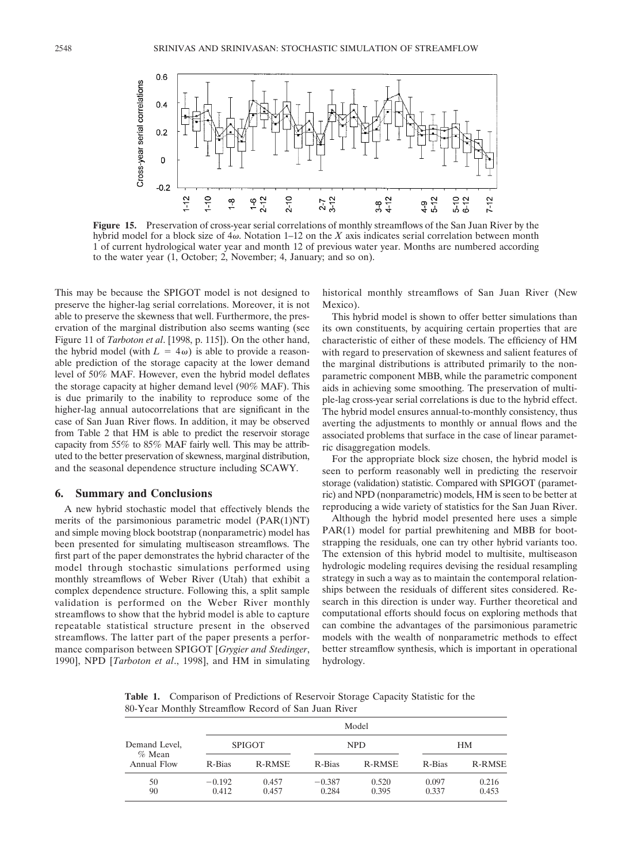

**Figure 15.** Preservation of cross-year serial correlations of monthly streamflows of the San Juan River by the hybrid model for a block size of  $4\omega$ . Notation 1–12 on the *X* axis indicates serial correlation between month 1 of current hydrological water year and month 12 of previous water year. Months are numbered according to the water year (1, October; 2, November; 4, January; and so on).

This may be because the SPIGOT model is not designed to preserve the higher-lag serial correlations. Moreover, it is not able to preserve the skewness that well. Furthermore, the preservation of the marginal distribution also seems wanting (see Figure 11 of *Tarboton et al*. [1998, p. 115]). On the other hand, the hybrid model (with  $L = 4\omega$ ) is able to provide a reasonable prediction of the storage capacity at the lower demand level of 50% MAF. However, even the hybrid model deflates the storage capacity at higher demand level (90% MAF). This is due primarily to the inability to reproduce some of the higher-lag annual autocorrelations that are significant in the case of San Juan River flows. In addition, it may be observed from Table 2 that HM is able to predict the reservoir storage capacity from 55% to 85% MAF fairly well. This may be attributed to the better preservation of skewness, marginal distribution, and the seasonal dependence structure including SCAWY.

#### **6. Summary and Conclusions**

A new hybrid stochastic model that effectively blends the merits of the parsimonious parametric model (PAR(1)NT) and simple moving block bootstrap (nonparametric) model has been presented for simulating multiseason streamflows. The first part of the paper demonstrates the hybrid character of the model through stochastic simulations performed using monthly streamflows of Weber River (Utah) that exhibit a complex dependence structure. Following this, a split sample validation is performed on the Weber River monthly streamflows to show that the hybrid model is able to capture repeatable statistical structure present in the observed streamflows. The latter part of the paper presents a performance comparison between SPIGOT [*Grygier and Stedinger*, 1990], NPD [*Tarboton et al*., 1998], and HM in simulating

historical monthly streamflows of San Juan River (New Mexico)

This hybrid model is shown to offer better simulations than its own constituents, by acquiring certain properties that are characteristic of either of these models. The efficiency of HM with regard to preservation of skewness and salient features of the marginal distributions is attributed primarily to the nonparametric component MBB, while the parametric component aids in achieving some smoothing. The preservation of multiple-lag cross-year serial correlations is due to the hybrid effect. The hybrid model ensures annual-to-monthly consistency, thus averting the adjustments to monthly or annual flows and the associated problems that surface in the case of linear parametric disaggregation models.

For the appropriate block size chosen, the hybrid model is seen to perform reasonably well in predicting the reservoir storage (validation) statistic. Compared with SPIGOT (parametric) and NPD (nonparametric) models, HM is seen to be better at reproducing a wide variety of statistics for the San Juan River.

Although the hybrid model presented here uses a simple PAR(1) model for partial prewhitening and MBB for bootstrapping the residuals, one can try other hybrid variants too. The extension of this hybrid model to multisite, multiseason hydrologic modeling requires devising the residual resampling strategy in such a way as to maintain the contemporal relationships between the residuals of different sites considered. Research in this direction is under way. Further theoretical and computational efforts should focus on exploring methods that can combine the advantages of the parsimonious parametric models with the wealth of nonparametric methods to effect better streamflow synthesis, which is important in operational hydrology.

**Table 1.** Comparison of Predictions of Reservoir Storage Capacity Statistic for the 80-Year Monthly Streamflow Record of San Juan River

| Demand Level,<br>$%$ Mean | Model             |                |                   |                |                |                |  |  |  |
|---------------------------|-------------------|----------------|-------------------|----------------|----------------|----------------|--|--|--|
|                           | <b>SPIGOT</b>     |                |                   | <b>NPD</b>     | HM             |                |  |  |  |
| Annual Flow               | R-Bias            | R-RMSE         | R-Bias            | R-RMSE         | R-Bias         | <b>R-RMSE</b>  |  |  |  |
| 50<br>90                  | $-0.192$<br>0.412 | 0.457<br>0.457 | $-0.387$<br>0.284 | 0.520<br>0.395 | 0.097<br>0.337 | 0.216<br>0.453 |  |  |  |